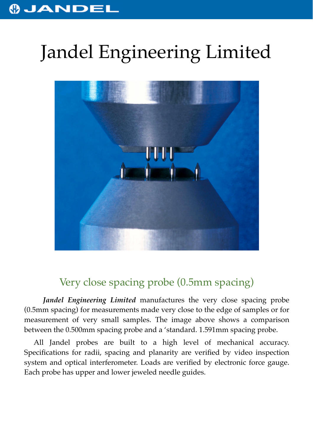## **OJANDEI**

## Jandel Engineering Limited



## Very close spacing probe (0.5mm spacing)

*Jandel Engineering Limited* manufactures the very close spacing probe (0.5mm spacing) for measurements made very close to the edge of samples or for measurement of very small samples. The image above shows a comparison between the 0.500mm spacing probe and a 'standard. 1.591mm spacing probe.

All Jandel probes are built to a high level of mechanical accuracy. Specifications for radii, spacing and planarity are verified by video inspection system and optical interferometer. Loads are verified by electronic force gauge. Each probe has upper and lower jeweled needle guides.